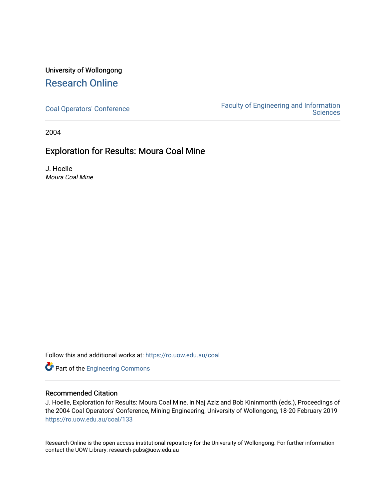# University of Wollongong [Research Online](https://ro.uow.edu.au/)

[Coal Operators' Conference](https://ro.uow.edu.au/coal) [Faculty of Engineering and Information](https://ro.uow.edu.au/eis)  **Sciences** 

2004

## Exploration for Results: Moura Coal Mine

J. Hoelle Moura Coal Mine

Follow this and additional works at: [https://ro.uow.edu.au/coal](https://ro.uow.edu.au/coal?utm_source=ro.uow.edu.au%2Fcoal%2F133&utm_medium=PDF&utm_campaign=PDFCoverPages) 

Part of the [Engineering Commons](http://network.bepress.com/hgg/discipline/217?utm_source=ro.uow.edu.au%2Fcoal%2F133&utm_medium=PDF&utm_campaign=PDFCoverPages)

### Recommended Citation

J. Hoelle, Exploration for Results: Moura Coal Mine, in Naj Aziz and Bob Kininmonth (eds.), Proceedings of the 2004 Coal Operators' Conference, Mining Engineering, University of Wollongong, 18-20 February 2019 [https://ro.uow.edu.au/coal/133](https://ro.uow.edu.au/coal/133?utm_source=ro.uow.edu.au%2Fcoal%2F133&utm_medium=PDF&utm_campaign=PDFCoverPages) 

Research Online is the open access institutional repository for the University of Wollongong. For further information contact the UOW Library: research-pubs@uow.edu.au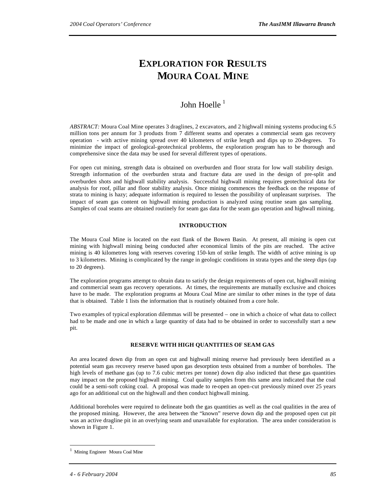# **EXPLORATION FOR RESULTS MOURA COAL MINE**

# John Hoelle<sup>1</sup>

*ABSTRACT:* Moura Coal Mine operates 3 draglines, 2 excavators, and 2 highwall mining systems producing 6.5 million tons per annum for 3 products from 7 different seams and operates a commercial seam gas recovery operation - with active mining spread over 40 kilometers of strike length and dips up to 20-degrees. To minimize the impact of geological-geotechnical problems, the exploration program has to be thorough and comprehensive since the data may be used for several different types of operations.

For open cut mining, strength data is obtained on overburden and floor strata for low wall stability design. Strength information of the overburden strata and fracture data are used in the design of pre-split and overburden shots and highwall stability analysis. Successful highwall mining requires geotechnical data for analysis for roof, pillar and floor stability analysis. Once mining commences the feedback on the response of strata to mining is hazy; adequate information is required to lessen the possibility of unpleasant surprises. The impact of seam gas content on highwall mining production is analyzed using routine seam gas sampling. Samples of coal seams are obtained routinely for seam gas data for the seam gas operation and highwall mining.

### **INTRODUCTION**

The Moura Coal Mine is located on the east flank of the Bowen Basin. At present, all mining is open cut mining with highwall mining being conducted after economical limits of the pits are reached. The active mining is 40 kilometres long with reserves covering 150-km of strike length. The width of active mining is up to 3 kilometres. Mining is complicated by the range in geologic conditions in strata types and the steep dips (up to 20 degrees).

The exploration programs attempt to obtain data to satisfy the design requirements of open cut, highwall mining and commercial seam gas recovery operations. At times, the requirements are mutually exclusive and choices have to be made. The exploration programs at Moura Coal Mine are similar to other mines in the type of data that is obtained. Table 1 lists the information that is routinely obtained from a core hole.

Two examples of typical exploration dilemmas will be presented – one in which a choice of what data to collect had to be made and one in which a large quantity of data had to be obtained in order to successfully start a new pit.

#### **RESERVE WITH HIGH QUANTITIES OF SEAM GAS**

An area located down dip from an open cut and highwall mining reserve had previously been identified as a potential seam gas recovery reserve based upon gas desorption tests obtained from a number of boreholes. The high levels of methane gas (up to 7.6 cubic metres per tonne) down dip also indicted that these gas quantities may impact on the proposed highwall mining. Coal quality samples from this same area indicated that the coal could be a semi-soft coking coal. A proposal was made to re-open an open-cut previously mined over 25 years ago for an additional cut on the highwall and then conduct highwall mining.

Additional boreholes were required to delineate both the gas quantities as well as the coal qualities in the area of the proposed mining. However, the area between the "known" reserve down dip and the proposed open cut pit was an active dragline pit in an overlying seam and unavailable for exploration. The area under consideration is shown in Figure 1.

 $\overline{a}$ 

<sup>1</sup> Mining Engineer Moura Coal Mine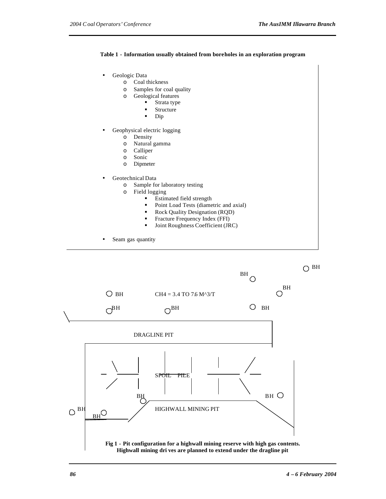### **Table 1 - Information usually obtained from boreholes in an exploration program**

|          | o Coal thickness                            |
|----------|---------------------------------------------|
| $\circ$  | Samples for coal quality                    |
| $\Omega$ | Geological features                         |
|          | Strata type                                 |
|          | Structure                                   |
|          | Dip                                         |
|          | Geophysical electric logging                |
| $\Omega$ | Density                                     |
| $\Omega$ | Natural gamma                               |
| $\Omega$ | Calliper                                    |
| $\Omega$ | Sonic                                       |
| $\circ$  | Dipmeter                                    |
|          | Geotechnical Data                           |
| $\circ$  | Sample for laboratory testing               |
| $\Omega$ | Field logging                               |
|          | Estimated field strength<br>$\blacksquare$  |
|          | Point Load Tests (diametric and axial)<br>٠ |
|          | Rock Quality Designation (RQD)              |
|          | Fracture Frequency Index (FFI)<br>٠         |
|          | Joint Roughness Coefficient (JRC)<br>٠      |

BH  $\bigcirc$  $O$ <sup>BH</sup>  $O$  BH CH4 = 3.4 TO 7.6 M^3/T  $O^{BH}$   $O^{BH}$   $O^{BH}$ DRAGLINE PIT SPOIL PILE BH BH  $\bigcirc$ <sup>BH</sup>  $_{\text{pri}}$ O / HIGHWALL MINING PIT  $O_{\underline{BH}}$ **Fig 1 - Pit configuration for a highwall mining reserve with high gas contents. Highwall mining dri ves are planned to extend under the dragline pit**

 $O<sub>BH</sub>$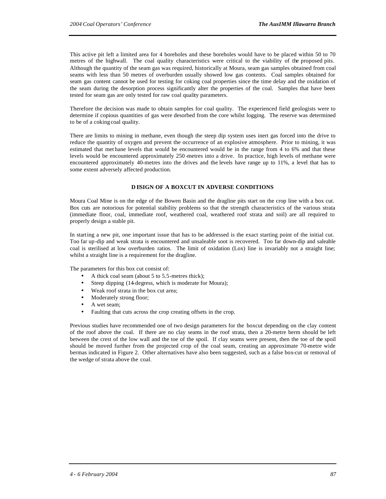This active pit left a limited area for 4 boreholes and these boreholes would have to be placed within 50 to 70 metres of the highwall. The coal quality characteristics were critical to the viability of the proposed pits. Although the quantity of the seam gas was required, historically at Moura, seam gas samples obtained from coal seams with less than 50 metres of overburden usually showed low gas contents. Coal samples obtained for seam gas content cannot be used for testing for coking coal properties since the time delay and the oxidation of the seam during the desorption process significantly alter the properties of the coal. Samples that have been tested for seam gas are only tested for raw coal quality parameters.

Therefore the decision was made to obtain samples for coal quality. The experienced field geologists were to determine if copious quantities of gas were desorbed from the core whilst logging. The reserve was determined to be of a coking coal quality.

There are limits to mining in methane, even though the steep dip system uses inert gas forced into the drive to reduce the quantity of oxygen and prevent the occurrence of an explosive atmosphere. Prior to mining, it was estimated that met hane levels that would be encountered would be in the range from 4 to 6% and that these levels would be encountered approximately 250 -metres into a drive. In practice, high levels of methane were encountered approximately 40-metres into the drives and the levels have range up to 11%, a level that has to some extent adversely affected production.

### **D ESIGN OF A BOXCUT IN ADVERSE CONDITIONS**

Moura Coal Mine is on the edge of the Bowen Basin and the dragline pits start on the crop line with a box cut. Box cuts are notorious for potential stability problems so that the strength characteristics of the various strata (immediate floor, coal, immediate roof, weathered coal, weathered roof strata and soil) are all required to properly design a stable pit.

In starting a new pit, one important issue that has to be addressed is the exact starting point of the initial cut. Too far up-dip and weak strata is encountered and unsaleable soot is recovered. Too far down-dip and saleable coal is sterilised at low overburden ratios. The limit of oxidation (Lox) line is invariably not a straight line; whilst a straight line is a requirement for the dragline.

The parameters for this box cut consist of:

- A thick coal seam (about 5 to 5.5-metres thick);
- Steep dipping (14-degress, which is moderate for Moura);
- Weak roof strata in the box cut area;
- Moderately strong floor;
- A wet seam:
- Faulting that cuts across the crop creating offsets in the crop.

Previous studies have recommended one of two design parameters for the boxcut depending on the clay content of the roof above the coal. If there are no clay seams in the roof strata, then a 20-metre berm should be left between the crest of the low wall and the toe of the spoil. If clay seams were present, then the toe of the spoil should be moved further from the projected crop of the coal seam, creating an approximate 70-metre wide bermas indicated in Figure 2. Other alternatives have also been suggested, such as a false box-cut or removal of the wedge of strata above the coal.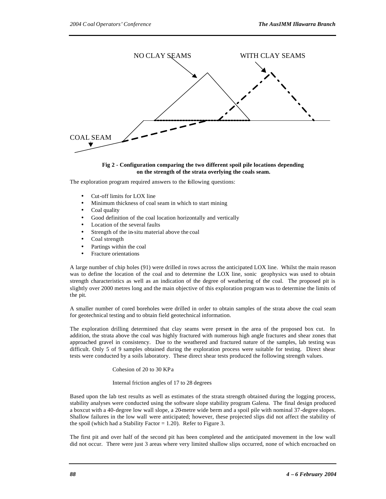

#### **Fig 2 - Configuration comparing the two different spoil pile locations depending on the strength of the strata overlying the coals seam.**

The exploration program required answers to the following questions:

- Cut-off limits for LOX line
- Minimum thickness of coal seam in which to start mining
- Coal quality
- Good definition of the coal location horizontally and vertically
- Location of the several faults
- Strength of the in-situ material above the coal
- Coal strength
- Partings within the coal
- Fracture orientations

A large number of chip holes (91) were drilled in rows across the anticipated LOX line. Whilst the main reason was to define the location of the coal and to determine the LOX line, sonic geophysics was used to obtain strength characteristics as well as an indication of the degree of weathering of the coal. The proposed pit is slightly over 2000 metres long and the main objective of this exploration program was to determine the limits of the pit.

A smaller number of cored boreholes were drilled in order to obtain samples of the strata above the coal seam for geotechnical testing and to obtain field geotechnical information.

The exploration drilling determined that clay seams were present in the area of the proposed box cut. In addition, the strata above the coal was highly fractured with numerous high angle fractures and shear zones that approached gravel in consistency. Due to the weathered and fractured nature of the samples, lab testing was difficult. Only 5 of 9 samples obtained during the exploration process were suitable for testing. Direct shear tests were conducted by a soils laboratory. These direct shear tests produced the following strength values.

#### Cohesion of 20 to 30 KPa

#### Internal friction angles of 17 to 28 degrees

Based upon the lab test results as well as estimates of the strata strength obtained during the logging process, stability analyses were conducted using the software slope stability program Galena. The final design produced a boxcut with a 40-degree low wall slope, a 20-metre wide berm and a spoil pile with nominal 37-degree slopes. Shallow failures in the low wall were anticipated; however, these projected slips did not affect the stability of the spoil (which had a Stability Factor  $= 1.20$ ). Refer to Figure 3.

The first pit and over half of the second pit has been completed and the anticipated movement in the low wall did not occur. There were just 3 areas where very limited shallow slips occurred, none of which encroached on